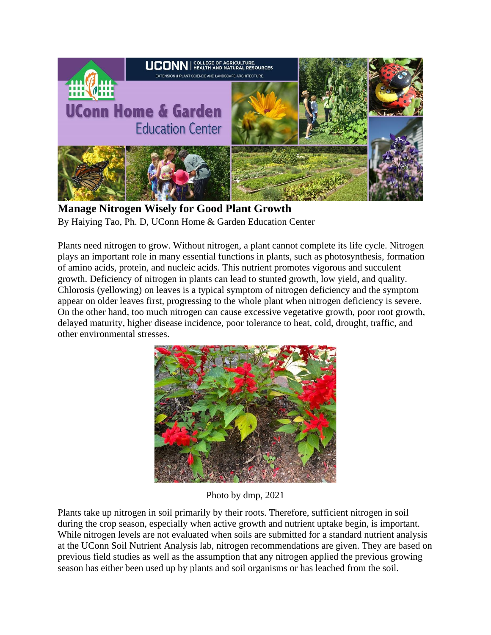

**Manage Nitrogen Wisely for Good Plant Growth** By Haiying Tao, Ph. D, UConn Home & Garden Education Center

Plants need nitrogen to grow. Without nitrogen, a plant cannot complete its life cycle. Nitrogen plays an important role in many essential functions in plants, such as photosynthesis, formation of amino acids, protein, and nucleic acids. This nutrient promotes vigorous and succulent growth. Deficiency of nitrogen in plants can lead to stunted growth, low yield, and quality. Chlorosis (yellowing) on leaves is a typical symptom of nitrogen deficiency and the symptom appear on older leaves first, progressing to the whole plant when nitrogen deficiency is severe. On the other hand, too much nitrogen can cause excessive vegetative growth, poor root growth, delayed maturity, higher disease incidence, poor tolerance to heat, cold, drought, traffic, and other environmental stresses.



Photo by dmp, 2021

Plants take up nitrogen in soil primarily by their roots. Therefore, sufficient nitrogen in soil during the crop season, especially when active growth and nutrient uptake begin, is important. While nitrogen levels are not evaluated when soils are submitted for a standard nutrient analysis at the UConn Soil Nutrient Analysis lab, nitrogen recommendations are given. They are based on previous field studies as well as the assumption that any nitrogen applied the previous growing season has either been used up by plants and soil organisms or has leached from the soil.